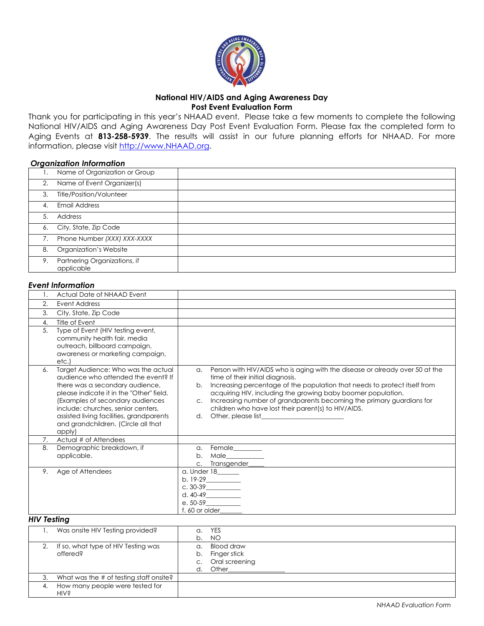

# **National HIV/AIDS and Aging Awareness Day Post Event Evaluation Form**

Thank you for participating in this year's NHAAD event. Please take a few moments to complete the following National HIV/AIDS and Aging Awareness Day Post Event Evaluation Form. Please fax the completed form to Aging Events at **813-258-5939**. The results will assist in our future planning efforts for NHAAD. For more information, please visi[t http://www.NHAAD.org.](http://www.nhaaad.org/) 

#### *Organization Information*

| Ι. | Name of Organization or Group              |  |
|----|--------------------------------------------|--|
| 2. | Name of Event Organizer(s)                 |  |
| 3. | Title/Position/Volunteer                   |  |
| 4. | <b>Email Address</b>                       |  |
| 5. | Address                                    |  |
|    | 6. City, State, Zip Code                   |  |
| 7. | Phone Number (XXX) XXX-XXXX                |  |
| 8. | Organization's Website                     |  |
| 9. | Partnering Organizations, if<br>applicable |  |

## *Event Information*

|                | Actual Date of NHAAD Event                                                                                                                                                                                                                                                                                                       |                                                                                                                                                                                                                                                                                                                                                                                                                                          |
|----------------|----------------------------------------------------------------------------------------------------------------------------------------------------------------------------------------------------------------------------------------------------------------------------------------------------------------------------------|------------------------------------------------------------------------------------------------------------------------------------------------------------------------------------------------------------------------------------------------------------------------------------------------------------------------------------------------------------------------------------------------------------------------------------------|
| 2.             | Event Address                                                                                                                                                                                                                                                                                                                    |                                                                                                                                                                                                                                                                                                                                                                                                                                          |
| 3.             | City, State, Zip Code                                                                                                                                                                                                                                                                                                            |                                                                                                                                                                                                                                                                                                                                                                                                                                          |
| 4.             | Title of Event                                                                                                                                                                                                                                                                                                                   |                                                                                                                                                                                                                                                                                                                                                                                                                                          |
| 5.             | Type of Event (HIV testing event,<br>community health fair, media<br>outreach, billboard campaign,<br>awareness or marketing campaign,<br>etc.                                                                                                                                                                                   |                                                                                                                                                                                                                                                                                                                                                                                                                                          |
| 6.             | Target Audience: Who was the actual<br>qudience who attended the event? If<br>there was a secondary audience,<br>please indicate it in the "Other" field.<br>(Examples of secondary audiences<br>include: churches, senior centers,<br>assisted living facilities, grandparents<br>and grandchildren. (Circle all that<br>apply) | Person with HIV/AIDS who is aging with the disease or already over 50 at the<br>$\alpha$ .<br>time of their initial diagnosis.<br>Increasing percentage of the population that needs to protect itself from<br>b.<br>acquiring HIV, including the growing baby boomer population.<br>Increasing number of grandparents becoming the primary guardians for<br>C <sub>1</sub><br>children who have lost their parent(s) to HIV/AIDS.<br>d. |
| 7 <sup>1</sup> | Actual # of Attendees                                                                                                                                                                                                                                                                                                            |                                                                                                                                                                                                                                                                                                                                                                                                                                          |
| 8.             | Demographic breakdown, if<br>applicable.                                                                                                                                                                                                                                                                                         | Female_______<br>$\alpha$ .<br>Male____________<br>b.<br>Transgender____<br>C <sub>1</sub>                                                                                                                                                                                                                                                                                                                                               |
| 9.             | Age of Attendees                                                                                                                                                                                                                                                                                                                 | a. Under 18______<br>$b. 19-29$<br>$c. 30-39$<br>$e. 50-59$<br>f. 60 or older_                                                                                                                                                                                                                                                                                                                                                           |

#### *HIV Testing*

|    | Was onsite HIV Testing provided?        | а. | <b>YES</b>        |
|----|-----------------------------------------|----|-------------------|
|    |                                         | b. | NO                |
| 2. | If so, what type of HIV Testing was     | α. | Blood draw        |
|    | offered?                                | b. | Finger stick      |
|    |                                         |    | c. Oral screening |
|    |                                         | d. | Other             |
| 3. | What was the # of testing staff onsite? |    |                   |
| 4. | How many people were tested for         |    |                   |
|    | <b>HIV</b> s                            |    |                   |